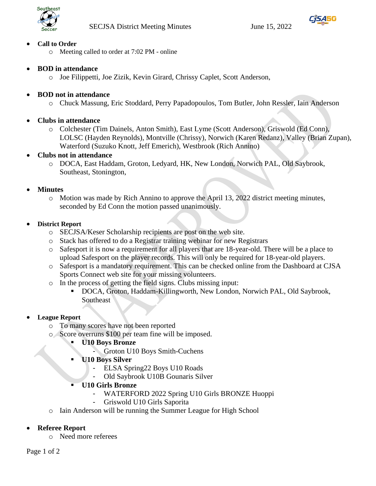



### • **Call to Order**

- o Meeting called to order at 7:02 PM online
- **BOD in attendance**
	- o Joe Filippetti, Joe Zizik, Kevin Girard, Chrissy Caplet, Scott Anderson,

## • **BOD not in attendance**

- o Chuck Massung, Eric Stoddard, Perry Papadopoulos, Tom Butler, John Ressler, Iain Anderson
- **Clubs in attendance**
	- o Colchester (Tim Dainels, Anton Smith), East Lyme (Scott Anderson), Griswold (Ed Conn), LOLSC (Hayden Reynolds), Montville (Chrissy), Norwich (Karen Redanz), Valley (Brian Zupan), Waterford (Suzuko Knott, Jeff Emerich), Westbrook (Rich Annino)

## • **Clubs not in attendance**

o DOCA, East Haddam, Groton, Ledyard, HK, New London, Norwich PAL, Old Saybrook, Southeast, Stonington,

#### • **Minutes**

o Motion was made by Rich Annino to approve the April 13, 2022 district meeting minutes, seconded by Ed Conn the motion passed unanimously.

#### • **District Report**

- o SECJSA/Keser Scholarship recipients are post on the web site.
- o Stack has offered to do a Registrar training webinar for new Registrars
- o Safesport it is now a requirement for all players that are 18-year-old. There will be a place to upload Safesport on the player records. This will only be required for 18-year-old players.
- o Safesport is a mandatory requirement. This can be checked online from the Dashboard at CJSA Sports Connect web site for your missing volunteers.
- o In the process of getting the field signs. Clubs missing input:
	- DOCA, Groton, Haddam-Killingworth, New London, Norwich PAL, Old Saybrook, Southeast

#### • **League Report**

- o To many scores have not been reported
- o Score overruns \$100 per team fine will be imposed.
	- **U10 Boys Bronze** 
		- Groton U10 Boys Smith-Cuchens
	- **U10 Boys Silver** 
		- ELSA Spring22 Boys U10 Roads
		- Old Saybrook U10B Gounaris Silver
	- **U10 Girls Bronze**
		- WATERFORD 2022 Spring U10 Girls BRONZE Huoppi
		- Griswold U10 Girls Saporita
- o Iain Anderson will be running the Summer League for High School

## • **Referee Report**

o Need more referees